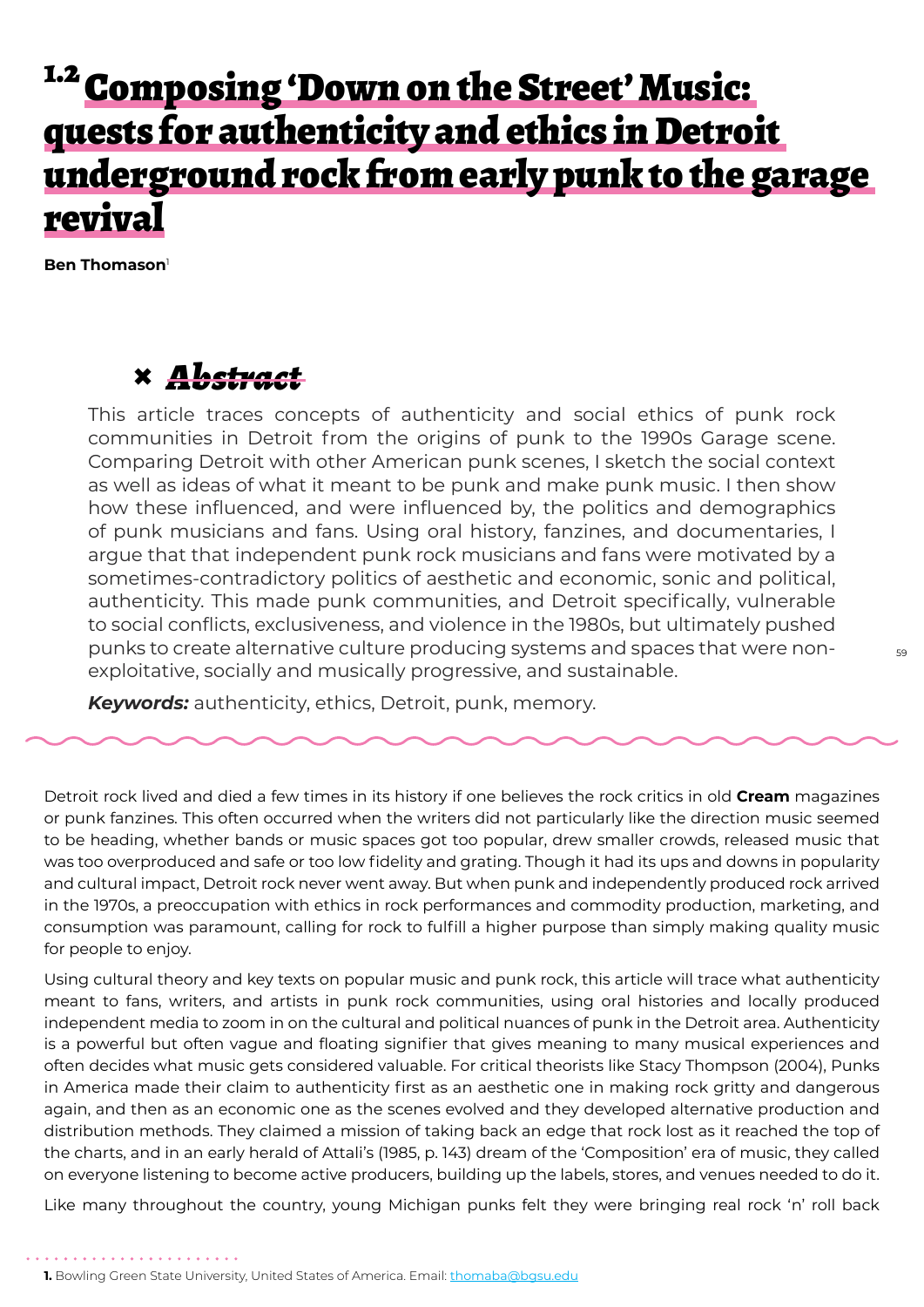## <sup>1.2</sup> Composing 'Down on the Street' Music: quests for authenticity and ethics in Detroit underground rock from early punk to the garage revival

**Ben Thomason**<sup>1</sup>

## **×** *Abstract*

This article traces concepts of authenticity and social ethics of punk rock communities in Detroit from the origins of punk to the 1990s Garage scene. Comparing Detroit with other American punk scenes, I sketch the social context as well as ideas of what it meant to be punk and make punk music. I then show how these influenced, and were influenced by, the politics and demographics of punk musicians and fans. Using oral history, fanzines, and documentaries, I argue that that independent punk rock musicians and fans were motivated by a sometimes-contradictory politics of aesthetic and economic, sonic and political, authenticity. This made punk communities, and Detroit specifically, vulnerable to social conflicts, exclusiveness, and violence in the 1980s, but ultimately pushed punks to create alternative culture producing systems and spaces that were nonexploitative, socially and musically progressive, and sustainable.

*Keywords:* authenticity, ethics, Detroit, punk, memory.

Detroit rock lived and died a few times in its history if one believes the rock critics in old **Cream** magazines or punk fanzines. This often occurred when the writers did not particularly like the direction music seemed to be heading, whether bands or music spaces got too popular, drew smaller crowds, released music that was too overproduced and safe or too low fidelity and grating. Though it had its ups and downs in popularity and cultural impact, Detroit rock never went away. But when punk and independently produced rock arrived in the 1970s, a preoccupation with ethics in rock performances and commodity production, marketing, and consumption was paramount, calling for rock to fulfill a higher purpose than simply making quality music for people to enjoy.

Using cultural theory and key texts on popular music and punk rock, this article will trace what authenticity meant to fans, writers, and artists in punk rock communities, using oral histories and locally produced independent media to zoom in on the cultural and political nuances of punk in the Detroit area. Authenticity is a powerful but often vague and floating signifier that gives meaning to many musical experiences and often decides what music gets considered valuable. For critical theorists like Stacy Thompson (2004), Punks in America made their claim to authenticity first as an aesthetic one in making rock gritty and dangerous again, and then as an economic one as the scenes evolved and they developed alternative production and distribution methods. They claimed a mission of taking back an edge that rock lost as it reached the top of the charts, and in an early herald of Attali's (1985, p. 143) dream of the 'Composition' era of music, they called on everyone listening to become active producers, building up the labels, stores, and venues needed to do it.

Like many throughout the country, young Michigan punks felt they were bringing real rock 'n' roll back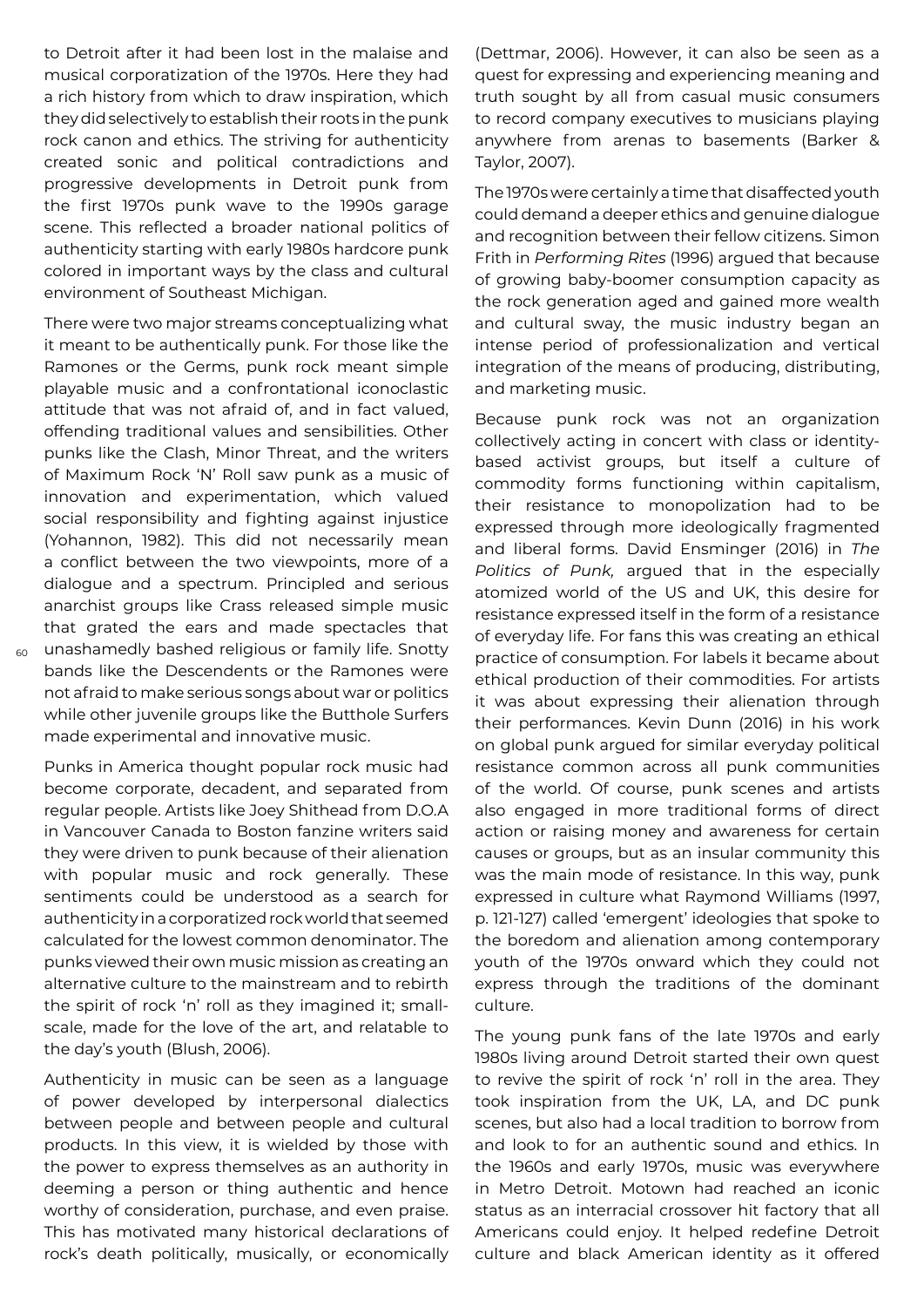to Detroit after it had been lost in the malaise and musical corporatization of the 1970s. Here they had a rich history from which to draw inspiration, which they did selectively to establish their roots in the punk rock canon and ethics. The striving for authenticity created sonic and political contradictions and progressive developments in Detroit punk from the first 1970s punk wave to the 1990s garage scene. This reflected a broader national politics of authenticity starting with early 1980s hardcore punk colored in important ways by the class and cultural environment of Southeast Michigan.

There were two major streams conceptualizing what it meant to be authentically punk. For those like the Ramones or the Germs, punk rock meant simple playable music and a confrontational iconoclastic attitude that was not afraid of, and in fact valued, offending traditional values and sensibilities. Other punks like the Clash, Minor Threat, and the writers of Maximum Rock 'N' Roll saw punk as a music of innovation and experimentation, which valued social responsibility and fighting against injustice (Yohannon, 1982). This did not necessarily mean a conflict between the two viewpoints, more of a dialogue and a spectrum. Principled and serious anarchist groups like Crass released simple music that grated the ears and made spectacles that unashamedly bashed religious or family life. Snotty bands like the Descendents or the Ramones were not afraid to make serious songs about war or politics while other juvenile groups like the Butthole Surfers made experimental and innovative music.

Punks in America thought popular rock music had become corporate, decadent, and separated from regular people. Artists like Joey Shithead from D.O.A in Vancouver Canada to Boston fanzine writers said they were driven to punk because of their alienation with popular music and rock generally. These sentiments could be understood as a search for authenticity in a corporatized rock world that seemed calculated for the lowest common denominator. The punks viewed their own music mission as creating an alternative culture to the mainstream and to rebirth the spirit of rock 'n' roll as they imagined it; smallscale, made for the love of the art, and relatable to the day's youth (Blush, 2006).

Authenticity in music can be seen as a language of power developed by interpersonal dialectics between people and between people and cultural products. In this view, it is wielded by those with the power to express themselves as an authority in deeming a person or thing authentic and hence worthy of consideration, purchase, and even praise. This has motivated many historical declarations of rock's death politically, musically, or economically (Dettmar, 2006). However, it can also be seen as a quest for expressing and experiencing meaning and truth sought by all from casual music consumers to record company executives to musicians playing anywhere from arenas to basements (Barker & Taylor, 2007).

The 1970s were certainly a time that disaffected youth could demand a deeper ethics and genuine dialogue and recognition between their fellow citizens. Simon Frith in *Performing Rites* (1996) argued that because of growing baby-boomer consumption capacity as the rock generation aged and gained more wealth and cultural sway, the music industry began an intense period of professionalization and vertical integration of the means of producing, distributing, and marketing music.

Because punk rock was not an organization collectively acting in concert with class or identitybased activist groups, but itself a culture of commodity forms functioning within capitalism, their resistance to monopolization had to be expressed through more ideologically fragmented and liberal forms. David Ensminger (2016) in *The Politics of Punk,* argued that in the especially atomized world of the US and UK, this desire for resistance expressed itself in the form of a resistance of everyday life. For fans this was creating an ethical practice of consumption. For labels it became about ethical production of their commodities. For artists it was about expressing their alienation through their performances. Kevin Dunn (2016) in his work on global punk argued for similar everyday political resistance common across all punk communities of the world. Of course, punk scenes and artists also engaged in more traditional forms of direct action or raising money and awareness for certain causes or groups, but as an insular community this was the main mode of resistance. In this way, punk expressed in culture what Raymond Williams (1997, p. 121-127) called 'emergent' ideologies that spoke to the boredom and alienation among contemporary youth of the 1970s onward which they could not express through the traditions of the dominant culture.

The young punk fans of the late 1970s and early 1980s living around Detroit started their own quest to revive the spirit of rock 'n' roll in the area. They took inspiration from the UK, LA, and DC punk scenes, but also had a local tradition to borrow from and look to for an authentic sound and ethics. In the 1960s and early 1970s, music was everywhere in Metro Detroit. Motown had reached an iconic status as an interracial crossover hit factory that all Americans could enjoy. It helped redefine Detroit culture and black American identity as it offered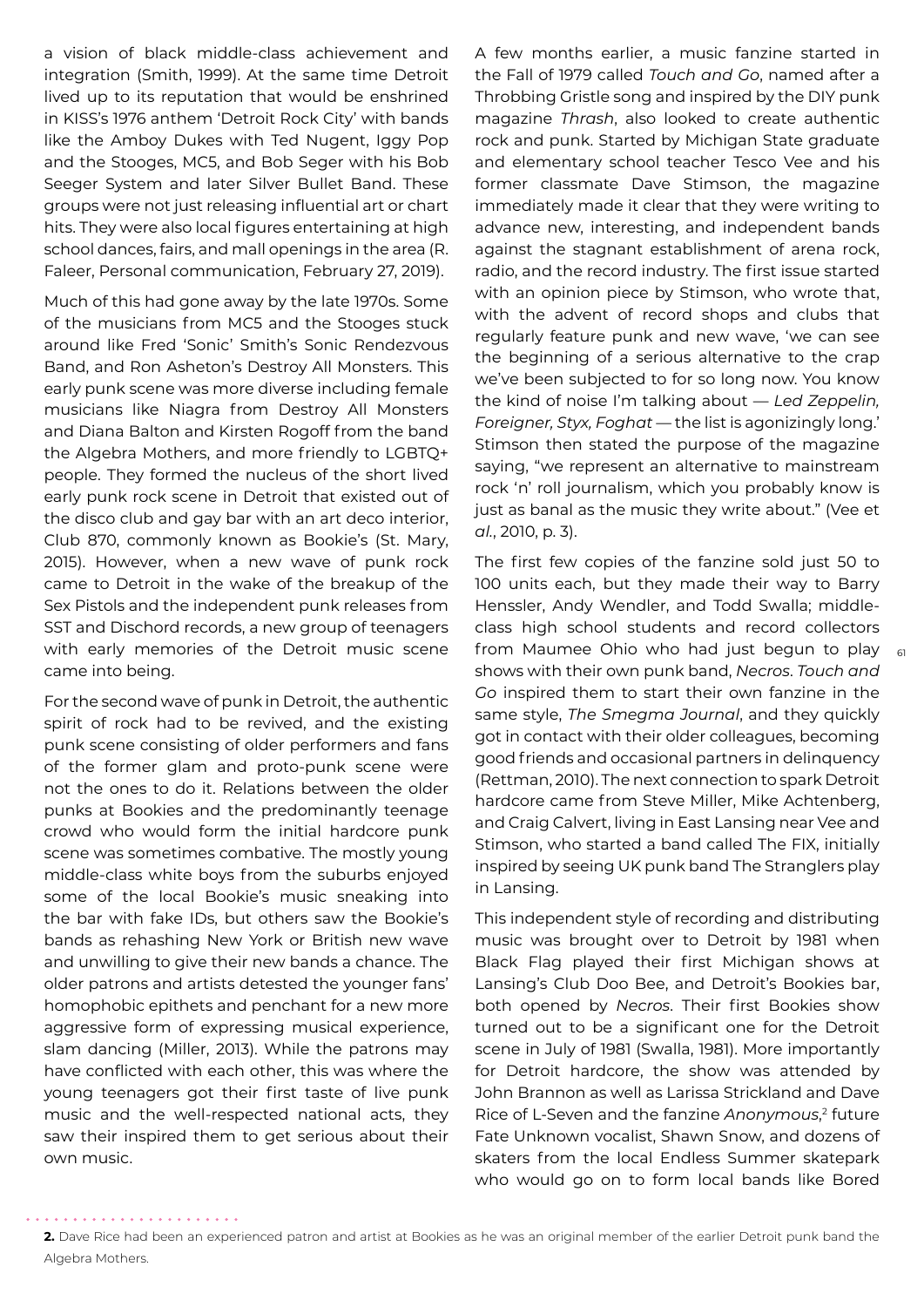a vision of black middle-class achievement and integration (Smith, 1999). At the same time Detroit lived up to its reputation that would be enshrined in KISS's 1976 anthem 'Detroit Rock City' with bands like the Amboy Dukes with Ted Nugent, Iggy Pop and the Stooges, MC5, and Bob Seger with his Bob Seeger System and later Silver Bullet Band. These groups were not just releasing influential art or chart hits. They were also local figures entertaining at high school dances, fairs, and mall openings in the area (R. Faleer, Personal communication, February 27, 2019).

Much of this had gone away by the late 1970s. Some of the musicians from MC5 and the Stooges stuck around like Fred 'Sonic' Smith's Sonic Rendezvous Band, and Ron Asheton's Destroy All Monsters. This early punk scene was more diverse including female musicians like Niagra from Destroy All Monsters and Diana Balton and Kirsten Rogoff from the band the Algebra Mothers, and more friendly to LGBTQ+ people. They formed the nucleus of the short lived early punk rock scene in Detroit that existed out of the disco club and gay bar with an art deco interior, Club 870, commonly known as Bookie's (St. Mary, 2015). However, when a new wave of punk rock came to Detroit in the wake of the breakup of the Sex Pistols and the independent punk releases from SST and Dischord records, a new group of teenagers with early memories of the Detroit music scene came into being.

For the second wave of punk in Detroit, the authentic spirit of rock had to be revived, and the existing punk scene consisting of older performers and fans of the former glam and proto-punk scene were not the ones to do it. Relations between the older punks at Bookies and the predominantly teenage crowd who would form the initial hardcore punk scene was sometimes combative. The mostly young middle-class white boys from the suburbs enjoyed some of the local Bookie's music sneaking into the bar with fake IDs, but others saw the Bookie's bands as rehashing New York or British new wave and unwilling to give their new bands a chance. The older patrons and artists detested the younger fans' homophobic epithets and penchant for a new more aggressive form of expressing musical experience, slam dancing (Miller, 2013). While the patrons may have conflicted with each other, this was where the young teenagers got their first taste of live punk music and the well-respected national acts, they saw their inspired them to get serious about their own music.

A few months earlier, a music fanzine started in the Fall of 1979 called *Touch and Go*, named after a Throbbing Gristle song and inspired by the DIY punk magazine *Thrash*, also looked to create authentic rock and punk. Started by Michigan State graduate and elementary school teacher Tesco Vee and his former classmate Dave Stimson, the magazine immediately made it clear that they were writing to advance new, interesting, and independent bands against the stagnant establishment of arena rock, radio, and the record industry. The first issue started with an opinion piece by Stimson, who wrote that, with the advent of record shops and clubs that regularly feature punk and new wave, 'we can see the beginning of a serious alternative to the crap we've been subjected to for so long now. You know the kind of noise I'm talking about — *Led Zeppelin, Foreigner, Styx, Foghat* — the list is agonizingly long.' Stimson then stated the purpose of the magazine saying, "we represent an alternative to mainstream rock 'n' roll journalism, which you probably know is just as banal as the music they write about." (Vee et *al.*, 2010, p. 3).

from Maumee Ohio who had just begun to play  $_{\rm 61}$ The first few copies of the fanzine sold just 50 to 100 units each, but they made their way to Barry Henssler, Andy Wendler, and Todd Swalla; middleclass high school students and record collectors shows with their own punk band, *Necros*. *Touch and Go* inspired them to start their own fanzine in the same style, *The Smegma Journal*, and they quickly got in contact with their older colleagues, becoming good friends and occasional partners in delinquency (Rettman, 2010). The next connection to spark Detroit hardcore came from Steve Miller, Mike Achtenberg, and Craig Calvert, living in East Lansing near Vee and Stimson, who started a band called The FIX, initially inspired by seeing UK punk band The Stranglers play in Lansing.

This independent style of recording and distributing music was brought over to Detroit by 1981 when Black Flag played their first Michigan shows at Lansing's Club Doo Bee, and Detroit's Bookies bar, both opened by *Necros*. Their first Bookies show turned out to be a significant one for the Detroit scene in July of 1981 (Swalla, 1981). More importantly for Detroit hardcore, the show was attended by John Brannon as well as Larissa Strickland and Dave Rice of L-Seven and the fanzine *Anonymous*, 2 future Fate Unknown vocalist, Shawn Snow, and dozens of skaters from the local Endless Summer skatepark who would go on to form local bands like Bored

**<sup>2.</sup>** Dave Rice had been an experienced patron and artist at Bookies as he was an original member of the earlier Detroit punk band the Algebra Mothers.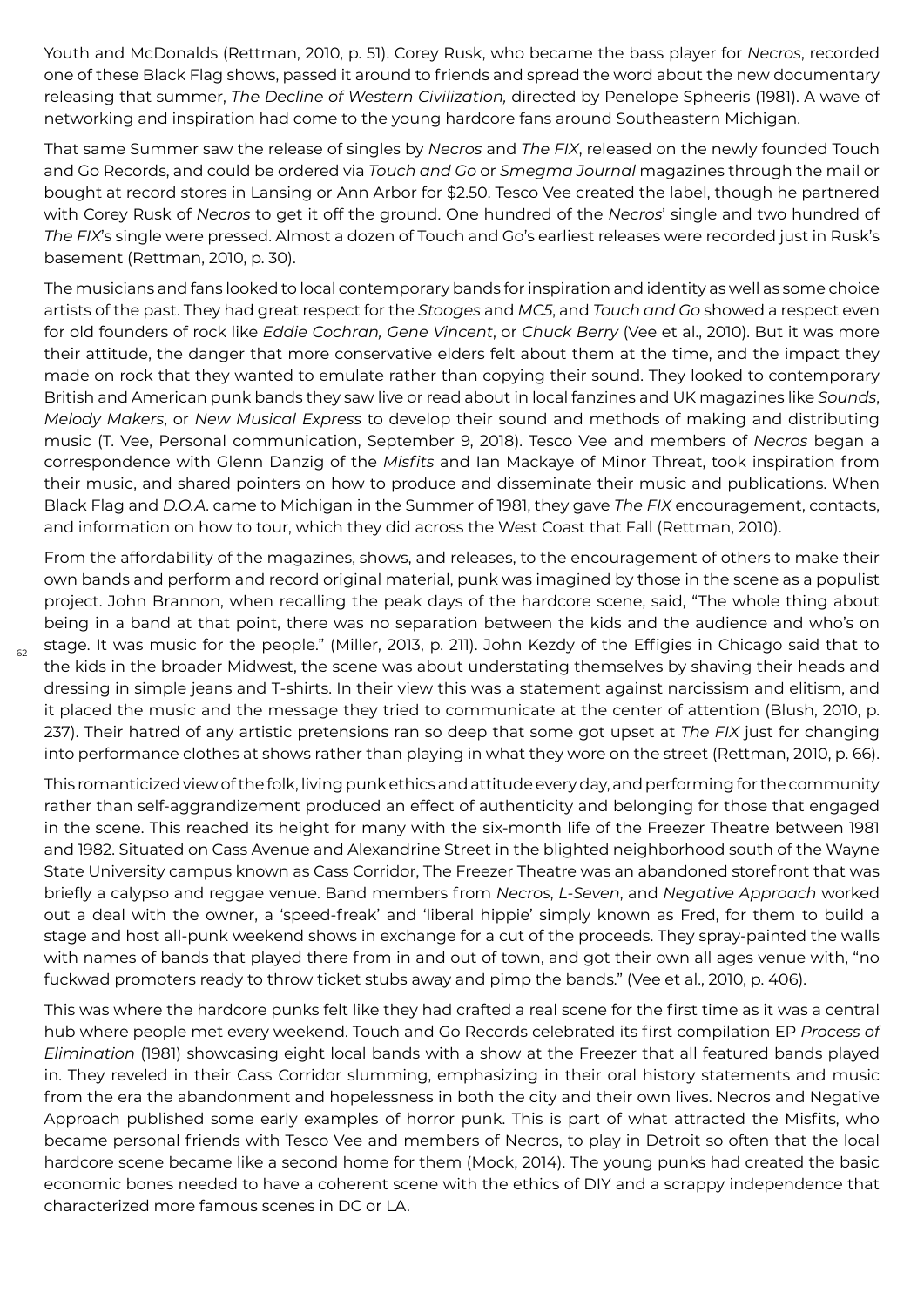Youth and McDonalds (Rettman, 2010, p. 51). Corey Rusk, who became the bass player for *Necros*, recorded one of these Black Flag shows, passed it around to friends and spread the word about the new documentary releasing that summer, *The Decline of Western Civilization,* directed by Penelope Spheeris (1981). A wave of networking and inspiration had come to the young hardcore fans around Southeastern Michigan.

That same Summer saw the release of singles by *Necros* and *The FIX*, released on the newly founded Touch and Go Records, and could be ordered via *Touch and Go* or *Smegma Journal* magazines through the mail or bought at record stores in Lansing or Ann Arbor for \$2.50. Tesco Vee created the label, though he partnered with Corey Rusk of *Necros* to get it off the ground. One hundred of the *Necros*' single and two hundred of *The FIX*'s single were pressed. Almost a dozen of Touch and Go's earliest releases were recorded just in Rusk's basement (Rettman, 2010, p. 30).

The musicians and fans looked to local contemporary bands for inspiration and identity as well as some choice artists of the past. They had great respect for the *Stooges* and *MC5*, and *Touch and Go* showed a respect even for old founders of rock like *Eddie Cochran, Gene Vincent*, or *Chuck Berry* (Vee et al., 2010). But it was more their attitude, the danger that more conservative elders felt about them at the time, and the impact they made on rock that they wanted to emulate rather than copying their sound. They looked to contemporary British and American punk bands they saw live or read about in local fanzines and UK magazines like *Sounds*, *Melody Makers*, or *New Musical Express* to develop their sound and methods of making and distributing music (T. Vee, Personal communication, September 9, 2018). Tesco Vee and members of *Necros* began a correspondence with Glenn Danzig of the *Misfits* and Ian Mackaye of Minor Threat, took inspiration from their music, and shared pointers on how to produce and disseminate their music and publications. When Black Flag and *D.O.A*. came to Michigan in the Summer of 1981, they gave *The FIX* encouragement, contacts, and information on how to tour, which they did across the West Coast that Fall (Rettman, 2010).

From the affordability of the magazines, shows, and releases, to the encouragement of others to make their own bands and perform and record original material, punk was imagined by those in the scene as a populist project. John Brannon, when recalling the peak days of the hardcore scene, said, "The whole thing about being in a band at that point, there was no separation between the kids and the audience and who's on stage. It was music for the people." (Miller, 2013, p. 211). John Kezdy of the Effigies in Chicago said that to the kids in the broader Midwest, the scene was about understating themselves by shaving their heads and dressing in simple jeans and T-shirts. In their view this was a statement against narcissism and elitism, and it placed the music and the message they tried to communicate at the center of attention (Blush, 2010, p. 237). Their hatred of any artistic pretensions ran so deep that some got upset at *The FIX* just for changing into performance clothes at shows rather than playing in what they wore on the street (Rettman, 2010, p. 66).

 $62$ 

This romanticized view of the folk, living punk ethics and attitude every day, and performing for the community rather than self-aggrandizement produced an effect of authenticity and belonging for those that engaged in the scene. This reached its height for many with the six-month life of the Freezer Theatre between 1981 and 1982. Situated on Cass Avenue and Alexandrine Street in the blighted neighborhood south of the Wayne State University campus known as Cass Corridor, The Freezer Theatre was an abandoned storefront that was briefly a calypso and reggae venue. Band members from *Necros*, *L-Seven*, and *Negative Approach* worked out a deal with the owner, a 'speed-freak' and 'liberal hippie' simply known as Fred, for them to build a stage and host all-punk weekend shows in exchange for a cut of the proceeds. They spray-painted the walls with names of bands that played there from in and out of town, and got their own all ages venue with, "no fuckwad promoters ready to throw ticket stubs away and pimp the bands." (Vee et al., 2010, p. 406).

This was where the hardcore punks felt like they had crafted a real scene for the first time as it was a central hub where people met every weekend. Touch and Go Records celebrated its first compilation EP *Process of Elimination* (1981) showcasing eight local bands with a show at the Freezer that all featured bands played in. They reveled in their Cass Corridor slumming, emphasizing in their oral history statements and music from the era the abandonment and hopelessness in both the city and their own lives. Necros and Negative Approach published some early examples of horror punk. This is part of what attracted the Misfits, who became personal friends with Tesco Vee and members of Necros, to play in Detroit so often that the local hardcore scene became like a second home for them (Mock, 2014). The young punks had created the basic economic bones needed to have a coherent scene with the ethics of DIY and a scrappy independence that characterized more famous scenes in DC or LA.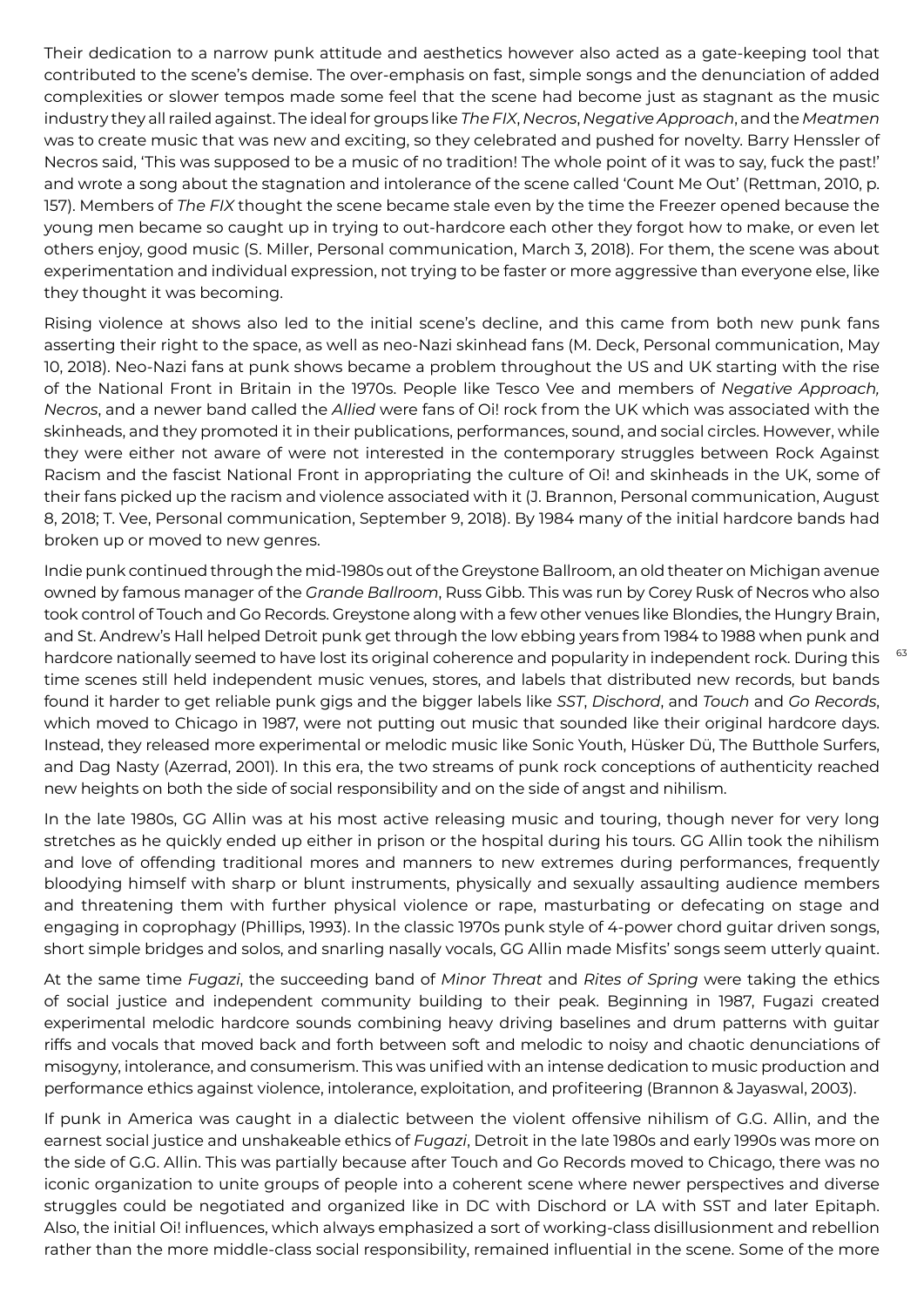Their dedication to a narrow punk attitude and aesthetics however also acted as a gate-keeping tool that contributed to the scene's demise. The over-emphasis on fast, simple songs and the denunciation of added complexities or slower tempos made some feel that the scene had become just as stagnant as the music industry they all railed against. The ideal for groups like *The FIX*, *Necros*, *Negative Approach*, and the *Meatmen* was to create music that was new and exciting, so they celebrated and pushed for novelty. Barry Henssler of Necros said, 'This was supposed to be a music of no tradition! The whole point of it was to say, fuck the past!' and wrote a song about the stagnation and intolerance of the scene called 'Count Me Out' (Rettman, 2010, p. 157). Members of *The FIX* thought the scene became stale even by the time the Freezer opened because the young men became so caught up in trying to out-hardcore each other they forgot how to make, or even let others enjoy, good music (S. Miller, Personal communication, March 3, 2018). For them, the scene was about experimentation and individual expression, not trying to be faster or more aggressive than everyone else, like they thought it was becoming.

Rising violence at shows also led to the initial scene's decline, and this came from both new punk fans asserting their right to the space, as well as neo-Nazi skinhead fans (M. Deck, Personal communication, May 10, 2018). Neo-Nazi fans at punk shows became a problem throughout the US and UK starting with the rise of the National Front in Britain in the 1970s. People like Tesco Vee and members of *Negative Approach, Necros*, and a newer band called the *Allied* were fans of Oi! rock from the UK which was associated with the skinheads, and they promoted it in their publications, performances, sound, and social circles. However, while they were either not aware of were not interested in the contemporary struggles between Rock Against Racism and the fascist National Front in appropriating the culture of Oi! and skinheads in the UK, some of their fans picked up the racism and violence associated with it (J. Brannon, Personal communication, August 8, 2018; T. Vee, Personal communication, September 9, 2018). By 1984 many of the initial hardcore bands had broken up or moved to new genres.

Indie punk continued through the mid-1980s out of the Greystone Ballroom, an old theater on Michigan avenue owned by famous manager of the *Grande Ballroom*, Russ Gibb. This was run by Corey Rusk of Necros who also took control of Touch and Go Records. Greystone along with a few other venues like Blondies, the Hungry Brain, and St. Andrew's Hall helped Detroit punk get through the low ebbing years from 1984 to 1988 when punk and hardcore nationally seemed to have lost its original coherence and popularity in independent rock. During this time scenes still held independent music venues, stores, and labels that distributed new records, but bands found it harder to get reliable punk gigs and the bigger labels like *SST*, *Dischord*, and *Touch* and *Go Records*, which moved to Chicago in 1987, were not putting out music that sounded like their original hardcore days. Instead, they released more experimental or melodic music like Sonic Youth, Hüsker Dü, The Butthole Surfers, and Dag Nasty (Azerrad, 2001). In this era, the two streams of punk rock conceptions of authenticity reached new heights on both the side of social responsibility and on the side of angst and nihilism.

In the late 1980s, GG Allin was at his most active releasing music and touring, though never for very long stretches as he quickly ended up either in prison or the hospital during his tours. GG Allin took the nihilism and love of offending traditional mores and manners to new extremes during performances, frequently bloodying himself with sharp or blunt instruments, physically and sexually assaulting audience members and threatening them with further physical violence or rape, masturbating or defecating on stage and engaging in coprophagy (Phillips, 1993). In the classic 1970s punk style of 4-power chord guitar driven songs, short simple bridges and solos, and snarling nasally vocals, GG Allin made Misfits' songs seem utterly quaint.

At the same time *Fugazi*, the succeeding band of *Minor Threat* and *Rites of Spring* were taking the ethics of social justice and independent community building to their peak. Beginning in 1987, Fugazi created experimental melodic hardcore sounds combining heavy driving baselines and drum patterns with guitar riffs and vocals that moved back and forth between soft and melodic to noisy and chaotic denunciations of misogyny, intolerance, and consumerism. This was unified with an intense dedication to music production and performance ethics against violence, intolerance, exploitation, and profiteering (Brannon & Jayaswal, 2003).

If punk in America was caught in a dialectic between the violent offensive nihilism of G.G. Allin, and the earnest social justice and unshakeable ethics of *Fugazi*, Detroit in the late 1980s and early 1990s was more on the side of G.G. Allin. This was partially because after Touch and Go Records moved to Chicago, there was no iconic organization to unite groups of people into a coherent scene where newer perspectives and diverse struggles could be negotiated and organized like in DC with Dischord or LA with SST and later Epitaph. Also, the initial Oi! influences, which always emphasized a sort of working-class disillusionment and rebellion rather than the more middle-class social responsibility, remained influential in the scene. Some of the more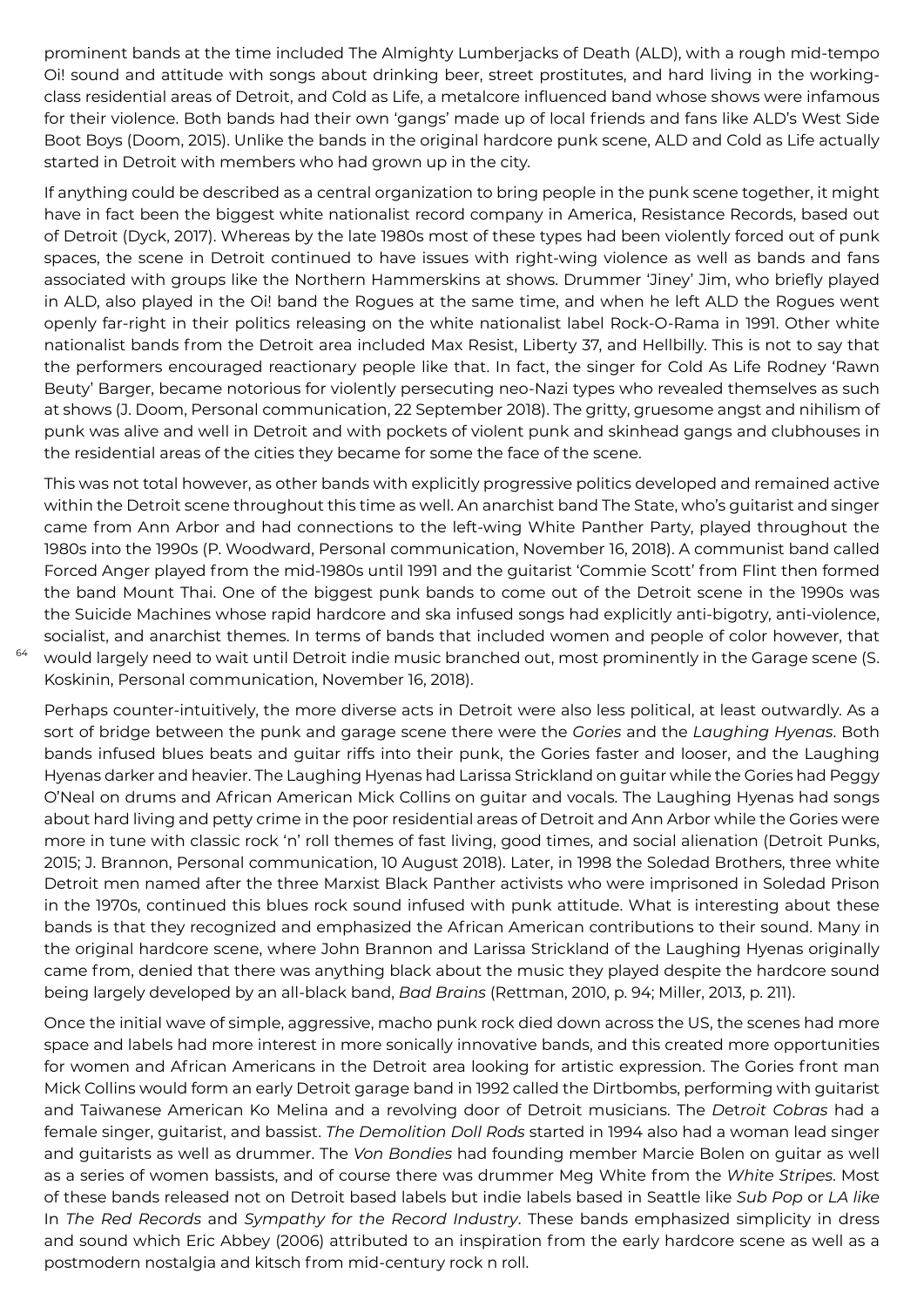prominent bands at the time included The Almighty Lumberjacks of Death (ALD), with a rough mid-tempo Oi! sound and attitude with songs about drinking beer, street prostitutes, and hard living in the workingclass residential areas of Detroit, and Cold as Life, a metalcore influenced band whose shows were infamous for their violence. Both bands had their own 'gangs' made up of local friends and fans like ALD's West Side Boot Boys (Doom, 2015). Unlike the bands in the original hardcore punk scene, ALD and Cold as Life actually started in Detroit with members who had grown up in the city.

If anything could be described as a central organization to bring people in the punk scene together, it might have in fact been the biggest white nationalist record company in America, Resistance Records, based out of Detroit (Dyck, 2017). Whereas by the late 1980s most of these types had been violently forced out of punk spaces, the scene in Detroit continued to have issues with right-wing violence as well as bands and fans associated with groups like the Northern Hammerskins at shows. Drummer 'Jiney' Jim, who briefly played in ALD, also played in the Oi! band the Rogues at the same time, and when he left ALD the Rogues went openly far-right in their politics releasing on the white nationalist label Rock-O-Rama in 1991. Other white nationalist bands from the Detroit area included Max Resist, Liberty 37, and Hellbilly. This is not to say that the performers encouraged reactionary people like that. In fact, the singer for Cold As Life Rodney 'Rawn Beuty' Barger, became notorious for violently persecuting neo-Nazi types who revealed themselves as such at shows (J. Doom, Personal communication, 22 September 2018). The gritty, gruesome angst and nihilism of punk was alive and well in Detroit and with pockets of violent punk and skinhead gangs and clubhouses in the residential areas of the cities they became for some the face of the scene.

This was not total however, as other bands with explicitly progressive politics developed and remained active within the Detroit scene throughout this time as well. An anarchist band The State, who's guitarist and singer came from Ann Arbor and had connections to the left-wing White Panther Party, played throughout the 1980s into the 1990s (P. Woodward, Personal communication, November 16, 2018). A communist band called Forced Anger played from the mid-1980s until 1991 and the guitarist 'Commie Scott' from Flint then formed the band Mount Thai. One of the biggest punk bands to come out of the Detroit scene in the 1990s was the Suicide Machines whose rapid hardcore and ska infused songs had explicitly anti-bigotry, anti-violence, socialist, and anarchist themes. In terms of bands that included women and people of color however, that would largely need to wait until Detroit indie music branched out, most prominently in the Garage scene (S. Koskinin, Personal communication, November 16, 2018).

64

Perhaps counter-intuitively, the more diverse acts in Detroit were also less political, at least outwardly. As a sort of bridge between the punk and garage scene there were the *Gories* and the *Laughing Hyenas*. Both bands infused blues beats and guitar riffs into their punk, the Gories faster and looser, and the Laughing Hyenas darker and heavier. The Laughing Hyenas had Larissa Strickland on guitar while the Gories had Peggy O'Neal on drums and African American Mick Collins on guitar and vocals. The Laughing Hyenas had songs about hard living and petty crime in the poor residential areas of Detroit and Ann Arbor while the Gories were more in tune with classic rock 'n' roll themes of fast living, good times, and social alienation (Detroit Punks, 2015; J. Brannon, Personal communication, 10 August 2018). Later, in 1998 the Soledad Brothers, three white Detroit men named after the three Marxist Black Panther activists who were imprisoned in Soledad Prison in the 1970s, continued this blues rock sound infused with punk attitude. What is interesting about these bands is that they recognized and emphasized the African American contributions to their sound. Many in the original hardcore scene, where John Brannon and Larissa Strickland of the Laughing Hyenas originally came from, denied that there was anything black about the music they played despite the hardcore sound being largely developed by an all-black band, *Bad Brains* (Rettman, 2010, p. 94; Miller, 2013, p. 211).

Once the initial wave of simple, aggressive, macho punk rock died down across the US, the scenes had more space and labels had more interest in more sonically innovative bands, and this created more opportunities for women and African Americans in the Detroit area looking for artistic expression. The Gories front man Mick Collins would form an early Detroit garage band in 1992 called the Dirtbombs, performing with guitarist and Taiwanese American Ko Melina and a revolving door of Detroit musicians. The *D*et*roit Cobras* had a female singer, guitarist, and bassist. *The Demolition Doll Rods* started in 1994 also had a woman lead singer and guitarists as well as drummer. The *Von Bondies* had founding member Marcie Bolen on guitar as well as a series of women bassists, and of course there was drummer Meg White from the *White Stripes*. Most of these bands released not on Detroit based labels but indie labels based in Seattle like *Sub Pop* or *LA like* In *The Red Records* and *Sympathy for the Record Industry*. These bands emphasized simplicity in dress and sound which Eric Abbey (2006) attributed to an inspiration from the early hardcore scene as well as a postmodern nostalgia and kitsch from mid-century rock n roll.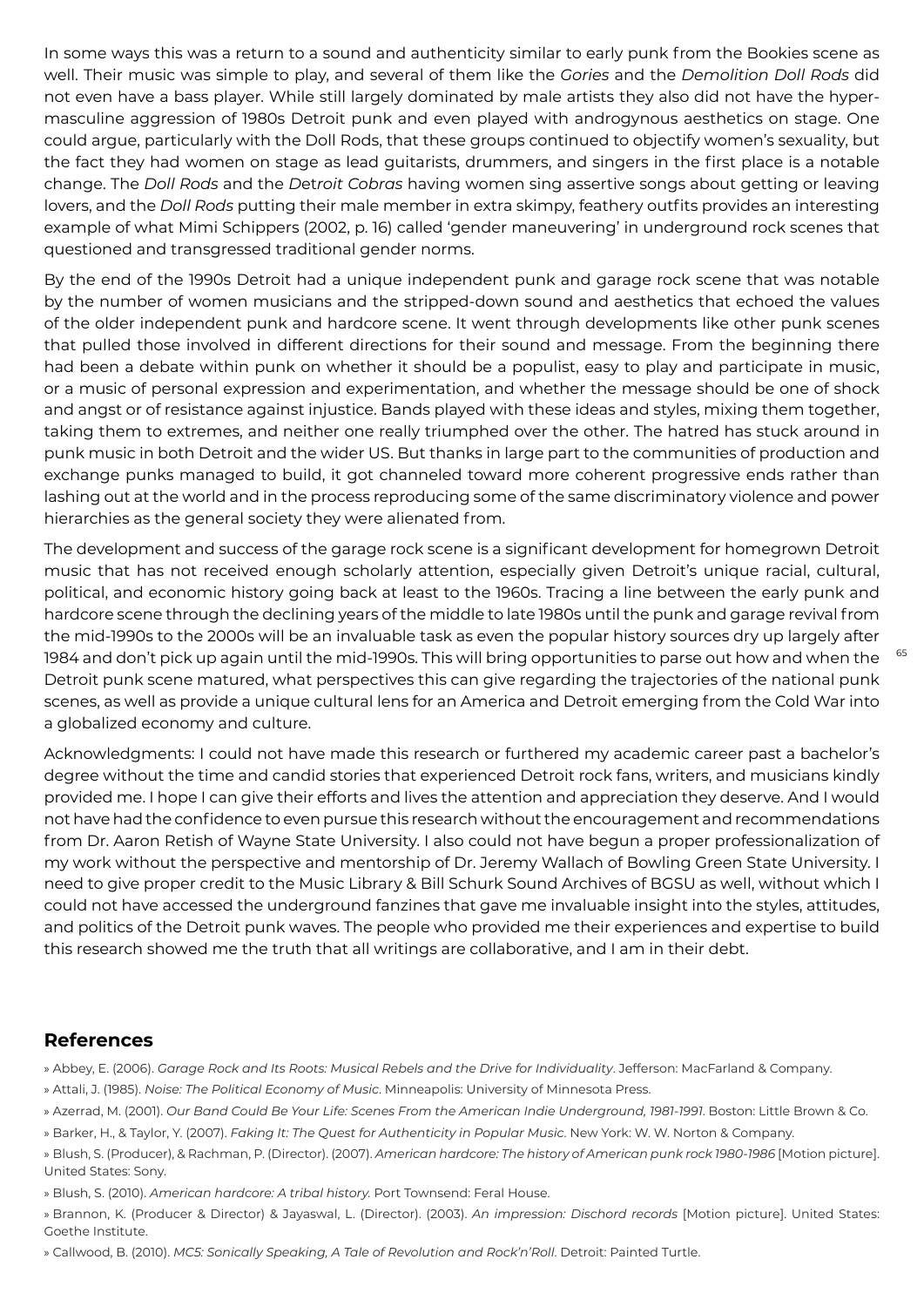In some ways this was a return to a sound and authenticity similar to early punk from the Bookies scene as well. Their music was simple to play, and several of them like the *Gories* and the *Demolition Doll Rods* did not even have a bass player. While still largely dominated by male artists they also did not have the hypermasculine aggression of 1980s Detroit punk and even played with androgynous aesthetics on stage. One could argue, particularly with the Doll Rods, that these groups continued to objectify women's sexuality, but the fact they had women on stage as lead guitarists, drummers, and singers in the first place is a notable change. The *Doll Rods* and the *D*et*roit Cobras* having women sing assertive songs about getting or leaving lovers, and the *Doll Rods* putting their male member in extra skimpy, feathery outfits provides an interesting example of what Mimi Schippers (2002, p. 16) called 'gender maneuvering' in underground rock scenes that questioned and transgressed traditional gender norms.

By the end of the 1990s Detroit had a unique independent punk and garage rock scene that was notable by the number of women musicians and the stripped-down sound and aesthetics that echoed the values of the older independent punk and hardcore scene. It went through developments like other punk scenes that pulled those involved in different directions for their sound and message. From the beginning there had been a debate within punk on whether it should be a populist, easy to play and participate in music, or a music of personal expression and experimentation, and whether the message should be one of shock and angst or of resistance against injustice. Bands played with these ideas and styles, mixing them together, taking them to extremes, and neither one really triumphed over the other. The hatred has stuck around in punk music in both Detroit and the wider US. But thanks in large part to the communities of production and exchange punks managed to build, it got channeled toward more coherent progressive ends rather than lashing out at the world and in the process reproducing some of the same discriminatory violence and power hierarchies as the general society they were alienated from.

The development and success of the garage rock scene is a significant development for homegrown Detroit music that has not received enough scholarly attention, especially given Detroit's unique racial, cultural, political, and economic history going back at least to the 1960s. Tracing a line between the early punk and hardcore scene through the declining years of the middle to late 1980s until the punk and garage revival from the mid-1990s to the 2000s will be an invaluable task as even the popular history sources dry up largely after 1984 and don't pick up again until the mid-1990s. This will bring opportunities to parse out how and when the Detroit punk scene matured, what perspectives this can give regarding the trajectories of the national punk scenes, as well as provide a unique cultural lens for an America and Detroit emerging from the Cold War into a globalized economy and culture.

Acknowledgments: I could not have made this research or furthered my academic career past a bachelor's degree without the time and candid stories that experienced Detroit rock fans, writers, and musicians kindly provided me. I hope I can give their efforts and lives the attention and appreciation they deserve. And I would not have had the confidence to even pursue this research without the encouragement and recommendations from Dr. Aaron Retish of Wayne State University. I also could not have begun a proper professionalization of my work without the perspective and mentorship of Dr. Jeremy Wallach of Bowling Green State University. I need to give proper credit to the Music Library & Bill Schurk Sound Archives of BGSU as well, without which I could not have accessed the underground fanzines that gave me invaluable insight into the styles, attitudes, and politics of the Detroit punk waves. The people who provided me their experiences and expertise to build this research showed me the truth that all writings are collaborative, and I am in their debt.

## **References**

- » Abbey, E. (2006). *Garage Rock and Its Roots: Musical Rebels and the Drive for Individuality*. Jefferson: MacFarland & Company. » Attali, J. (1985). *Noise: The Political Economy of Music*. Minneapolis: University of Minnesota Press.
- » Azerrad, M. (2001). *Our Band Could Be Your Life: Scenes From the American Indie Underground, 1981-1991*. Boston: Little Brown & Co.
- » Barker, H., & Taylor, Y. (2007). *Faking It: The Quest for Authenticity in Popular Music*. New York: W. W. Norton & Company.
- » Blush, S. (Producer), & Rachman, P. (Director). (2007). *American hardcore: The history of American punk rock 1980-1986* [Motion picture]. United States: Sony.
- » Blush, S. (2010). *American hardcore: A tribal history.* Port Townsend: Feral House.
- » Brannon, K. (Producer & Director) & Jayaswal, L. (Director). (2003). *An impression: Dischord records* [Motion picture]. United States: Goethe Institute.
- » Callwood, B. (2010). *MC5: Sonically Speaking, A Tale of Revolution and Rock'n'Roll*. Detroit: Painted Turtle.